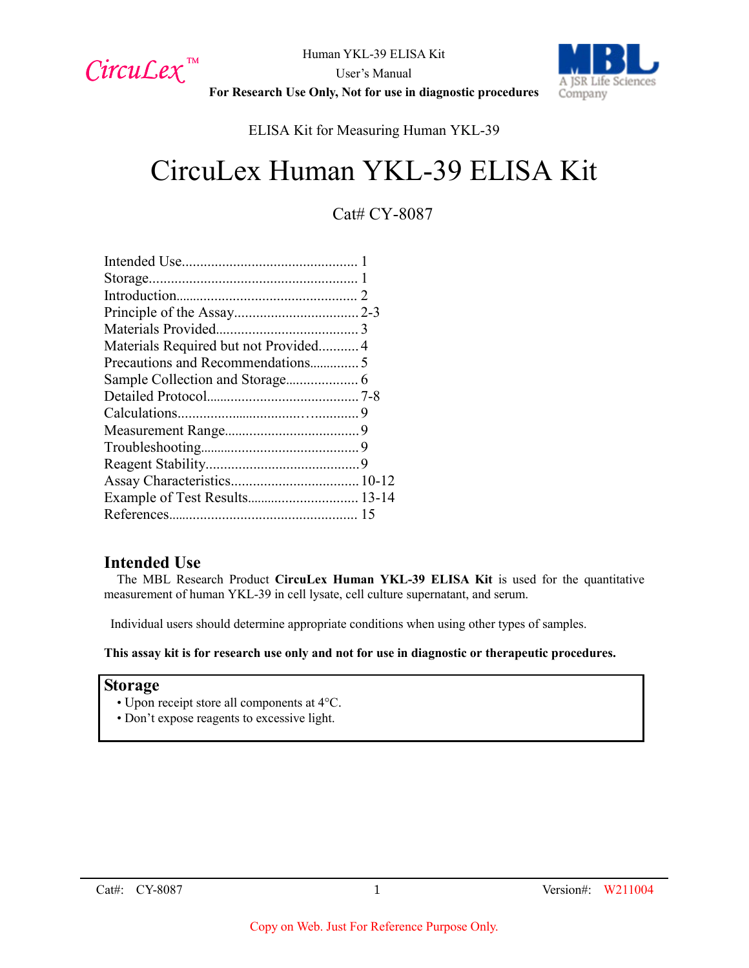

Human YKL-39 ELISA Kit User's Manual **For Research Use Only, Not for use in diagnostic procedures**



ELISA Kit for Measuring Human YKL-39

# CircuLex Human YKL-39 ELISA Kit

# Cat# CY-8087

| Materials Required but not Provided4 |  |
|--------------------------------------|--|
|                                      |  |
|                                      |  |
|                                      |  |
|                                      |  |
|                                      |  |
|                                      |  |
|                                      |  |
|                                      |  |
| Example of Test Results 13-14        |  |
|                                      |  |
|                                      |  |

# **Intended Use**

The MBL Research Product **CircuLex Human YKL-39 ELISA Kit** is used for the quantitative measurement of human YKL-39 in cell lysate, cell culture supernatant, and serum.

Individual users should determine appropriate conditions when using other types of samples.

**This assay kit is for research use only and not for use in diagnostic or therapeutic procedures.**

## **Storage**

- Upon receipt store all components at 4°C.
- Don't expose reagents to excessive light.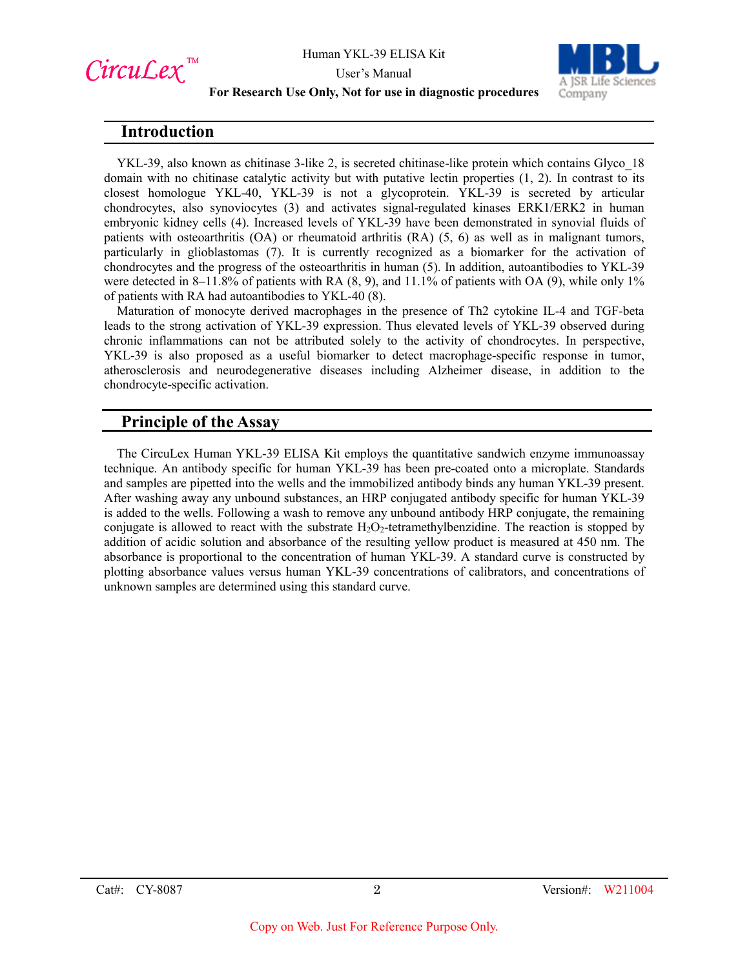

User's Manual



#### **For Research Use Only, Not for use in diagnostic procedures**

## **Introduction**

YKL-39, also known as chitinase 3-like 2, is secreted chitinase-like protein which contains Glyco\_18 domain with no chitinase catalytic activity but with putative lectin properties (1, 2). In contrast to its closest homologue YKL-40, YKL-39 is not a glycoprotein. YKL-39 is secreted by articular chondrocytes, also synoviocytes (3) and activates signal-regulated kinases ERK1/ERK2 in human embryonic kidney cells (4). Increased levels of YKL-39 have been demonstrated in synovial fluids of patients with osteoarthritis (OA) or rheumatoid arthritis (RA) (5, 6) as well as in malignant tumors, particularly in glioblastomas (7). It is currently recognized as a biomarker for the activation of chondrocytes and the progress of the osteoarthritis in human (5). In addition, autoantibodies to YKL-39 were detected in 8–11.8% of patients with RA (8, 9), and 11.1% of patients with OA (9), while only 1% of patients with RA had autoantibodies to YKL-40 (8).

Maturation of monocyte derived macrophages in the presence of Th2 cytokine IL-4 and TGF-beta leads to the strong activation of YKL-39 expression. Thus elevated levels of YKL-39 observed during chronic inflammations can not be attributed solely to the activity of chondrocytes. In perspective, YKL-39 is also proposed as a useful biomarker to detect macrophage-specific response in tumor, atherosclerosis and neurodegenerative diseases including Alzheimer disease, in addition to the chondrocyte-specific activation.

# **Principle of the Assay**

The CircuLex Human YKL-39 ELISA Kit employs the quantitative sandwich enzyme immunoassay technique. An antibody specific for human YKL-39 has been pre-coated onto a microplate. Standards and samples are pipetted into the wells and the immobilized antibody binds any human YKL-39 present. After washing away any unbound substances, an HRP conjugated antibody specific for human YKL-39 is added to the wells. Following a wash to remove any unbound antibody HRP conjugate, the remaining conjugate is allowed to react with the substrate  $H_2O_2$ -tetramethylbenzidine. The reaction is stopped by addition of acidic solution and absorbance of the resulting yellow product is measured at 450 nm. The absorbance is proportional to the concentration of human YKL-39. A standard curve is constructed by plotting absorbance values versus human YKL-39 concentrations of calibrators, and concentrations of unknown samples are determined using this standard curve.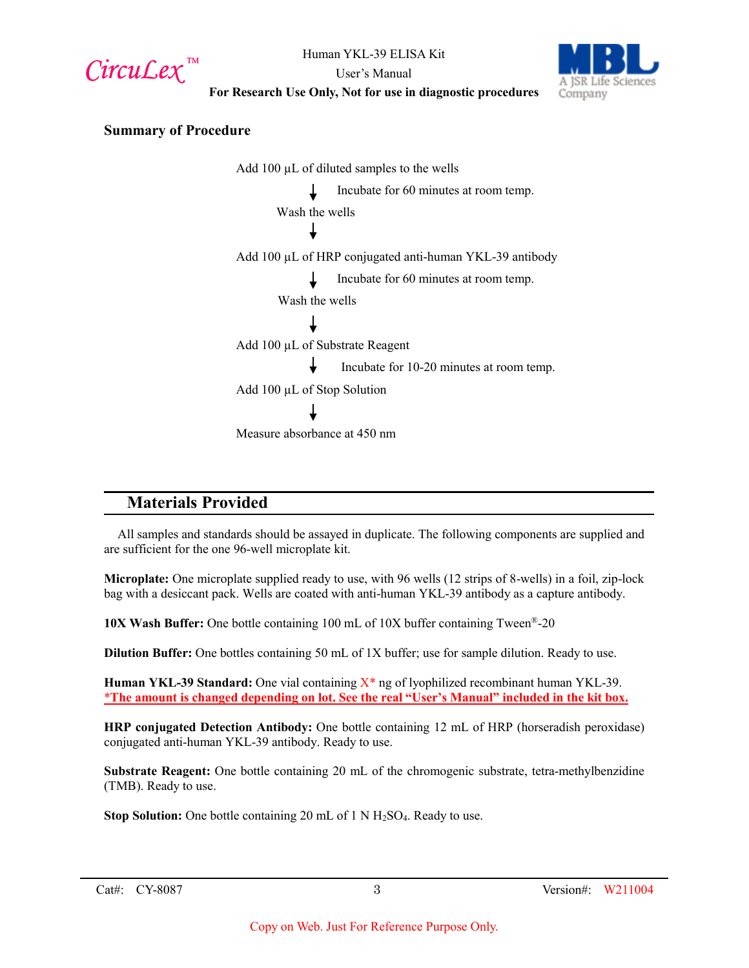CircuLex<sup>™</sup>



User's Manual **For Research Use Only, Not for use in diagnostic procedures**

## **Summary of Procedure**

Add 100 µL of diluted samples to the wells Incubate for 60 minutes at room temp. Wash the wells Add 100 µL of HRP conjugated anti-human YKL-39 antibody Incubate for 60 minutes at room temp. Wash the wells Add 100 µL of Substrate Reagent Incubate for 10-20 minutes at room temp. Add 100 µL of Stop Solution Measure absorbance at 450 nm

# **Materials Provided**

All samples and standards should be assayed in duplicate. The following components are supplied and are sufficient for the one 96-well microplate kit.

**Microplate:** One microplate supplied ready to use, with 96 wells (12 strips of 8-wells) in a foil, zip-lock bag with a desiccant pack. Wells are coated with anti-human YKL-39 antibody as a capture antibody.

**10X Wash Buffer:** One bottle containing 100 mL of 10X buffer containing Tween®-20

**Dilution Buffer:** One bottles containing 50 mL of 1X buffer; use for sample dilution. Ready to use.

**Human YKL-39 Standard:** One vial containing X\* ng of lyophilized recombinant human YKL-39. \***The amount is changed depending on lot. See the real "User's Manual" included in the kit box.**

**HRP conjugated Detection Antibody:** One bottle containing 12 mL of HRP (horseradish peroxidase) conjugated anti-human YKL-39 antibody. Ready to use.

**Substrate Reagent:** One bottle containing 20 mL of the chromogenic substrate, tetra-methylbenzidine (TMB). Ready to use.

**Stop Solution:** One bottle containing 20 mL of 1 N H<sub>2</sub>SO<sub>4</sub>. Ready to use.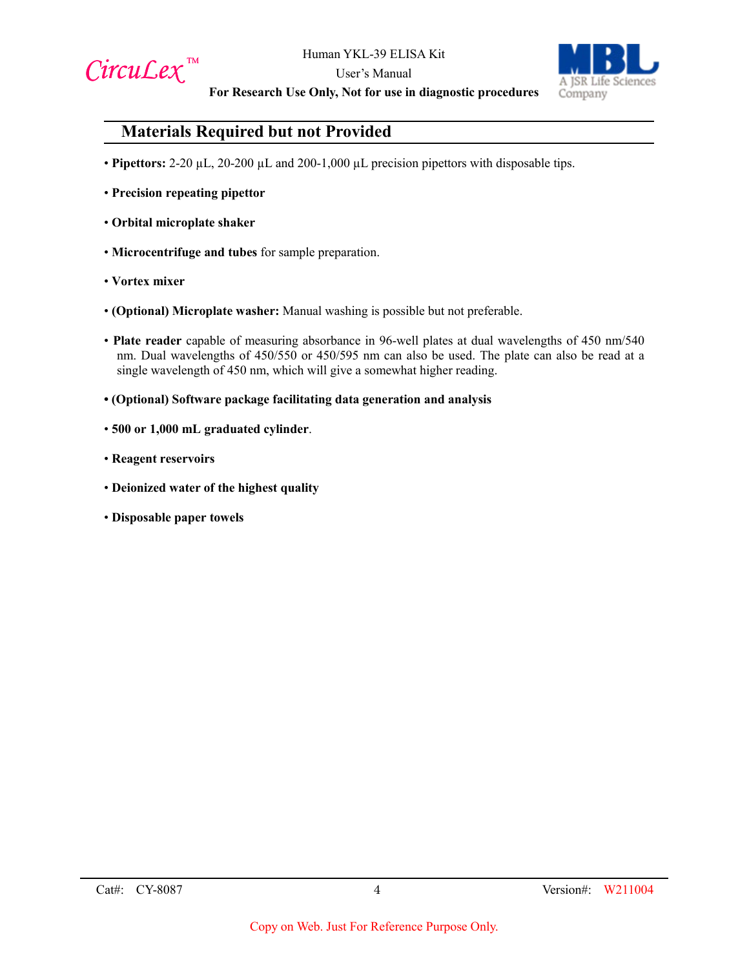

User's Manual



**For Research Use Only, Not for use in diagnostic procedures**

# **Materials Required but not Provided**

- **Pipettors:** 2-20 µL, 20-200 µL and 200-1,000 µL precision pipettors with disposable tips.
- **Precision repeating pipettor**
- **Orbital microplate shaker**
- **Microcentrifuge and tubes** for sample preparation.
- **Vortex mixer**
- **(Optional) Microplate washer:** Manual washing is possible but not preferable.
- **Plate reader** capable of measuring absorbance in 96-well plates at dual wavelengths of 450 nm/540 nm. Dual wavelengths of 450/550 or 450/595 nm can also be used. The plate can also be read at a single wavelength of 450 nm, which will give a somewhat higher reading.
- **(Optional) Software package facilitating data generation and analysis**
- **500 or 1,000 mL graduated cylinder**.
- **Reagent reservoirs**
- **Deionized water of the highest quality**
- **Disposable paper towels**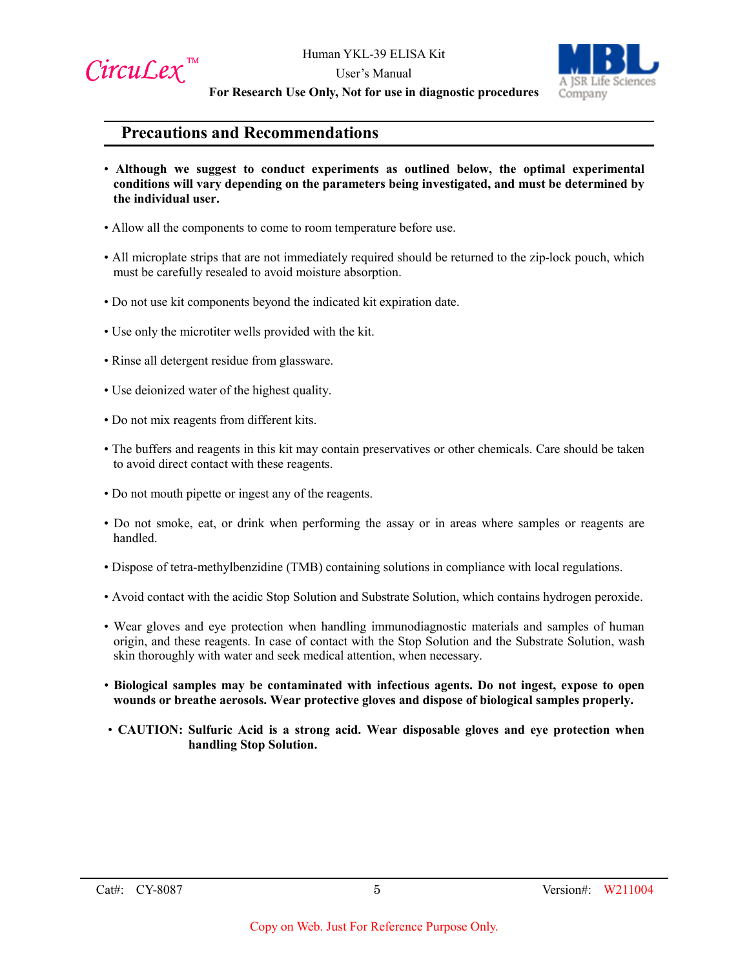

User's Manual



**For Research Use Only, Not for use in diagnostic procedures**

# **Precautions and Recommendations**

- **Although we suggest to conduct experiments as outlined below, the optimal experimental conditions will vary depending on the parameters being investigated, and must be determined by the individual user.**
- Allow all the components to come to room temperature before use.
- All microplate strips that are not immediately required should be returned to the zip-lock pouch, which must be carefully resealed to avoid moisture absorption.
- Do not use kit components beyond the indicated kit expiration date.
- Use only the microtiter wells provided with the kit.
- Rinse all detergent residue from glassware.
- Use deionized water of the highest quality.
- Do not mix reagents from different kits.
- The buffers and reagents in this kit may contain preservatives or other chemicals. Care should be taken to avoid direct contact with these reagents.
- Do not mouth pipette or ingest any of the reagents.
- Do not smoke, eat, or drink when performing the assay or in areas where samples or reagents are handled.
- Dispose of tetra-methylbenzidine (TMB) containing solutions in compliance with local regulations.
- Avoid contact with the acidic Stop Solution and Substrate Solution, which contains hydrogen peroxide.
- Wear gloves and eye protection when handling immunodiagnostic materials and samples of human origin, and these reagents. In case of contact with the Stop Solution and the Substrate Solution, wash skin thoroughly with water and seek medical attention, when necessary.
- **Biological samples may be contaminated with infectious agents. Do not ingest, expose to open wounds or breathe aerosols. Wear protective gloves and dispose of biological samples properly.**
- **CAUTION: Sulfuric Acid is a strong acid. Wear disposable gloves and eye protection when handling Stop Solution.**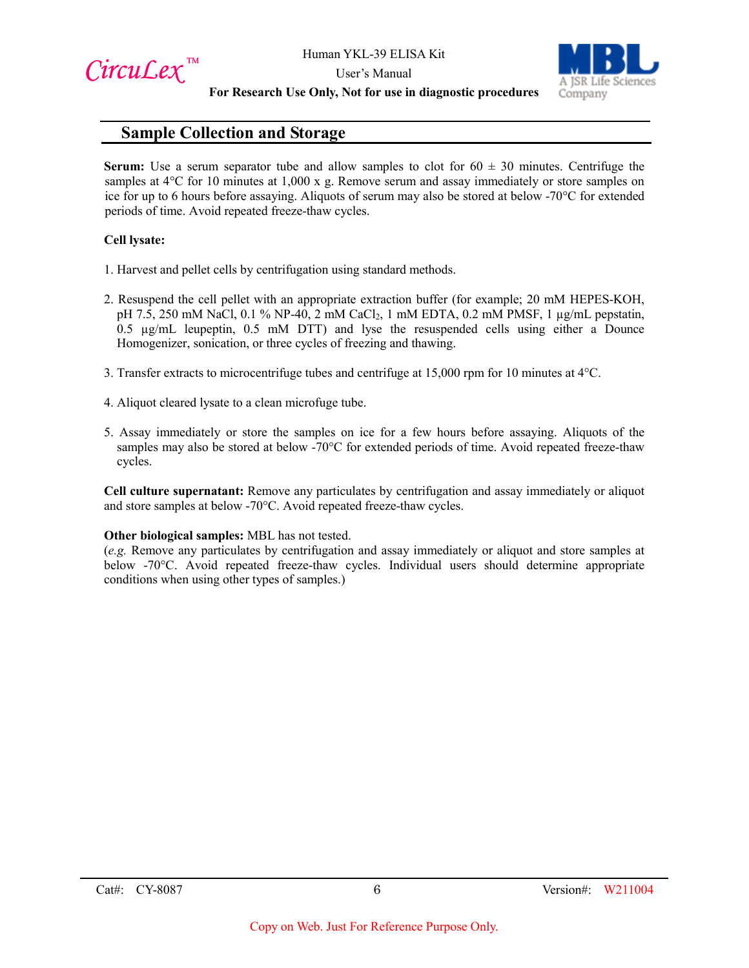CircuLex<sup>™</sup>

User's Manual



#### **For Research Use Only, Not for use in diagnostic procedures**

# **Sample Collection and Storage**

**Serum:** Use a serum separator tube and allow samples to clot for  $60 \pm 30$  minutes. Centrifuge the samples at  $4^{\circ}$ C for 10 minutes at 1,000 x g. Remove serum and assay immediately or store samples on ice for up to 6 hours before assaying. Aliquots of serum may also be stored at below -70°C for extended periods of time. Avoid repeated freeze-thaw cycles.

## **Cell lysate:**

- 1. Harvest and pellet cells by centrifugation using standard methods.
- 2. Resuspend the cell pellet with an appropriate extraction buffer (for example; 20 mM HEPES-KOH, pH 7.5, 250 mM NaCl, 0.1 % NP-40, 2 mM CaCl2, 1 mM EDTA, 0.2 mM PMSF, 1 µg/mL pepstatin, 0.5 µg/mL leupeptin, 0.5 mM DTT) and lyse the resuspended cells using either a Dounce Homogenizer, sonication, or three cycles of freezing and thawing.
- 3. Transfer extracts to microcentrifuge tubes and centrifuge at 15,000 rpm for 10 minutes at 4°C.
- 4. Aliquot cleared lysate to a clean microfuge tube.
- 5. Assay immediately or store the samples on ice for a few hours before assaying. Aliquots of the samples may also be stored at below -70°C for extended periods of time. Avoid repeated freeze-thaw cycles.

**Cell culture supernatant:** Remove any particulates by centrifugation and assay immediately or aliquot and store samples at below -70°C. Avoid repeated freeze-thaw cycles.

## **Other biological samples:** MBL has not tested.

(*e.g.* Remove any particulates by centrifugation and assay immediately or aliquot and store samples at below -70°C. Avoid repeated freeze-thaw cycles. Individual users should determine appropriate conditions when using other types of samples.)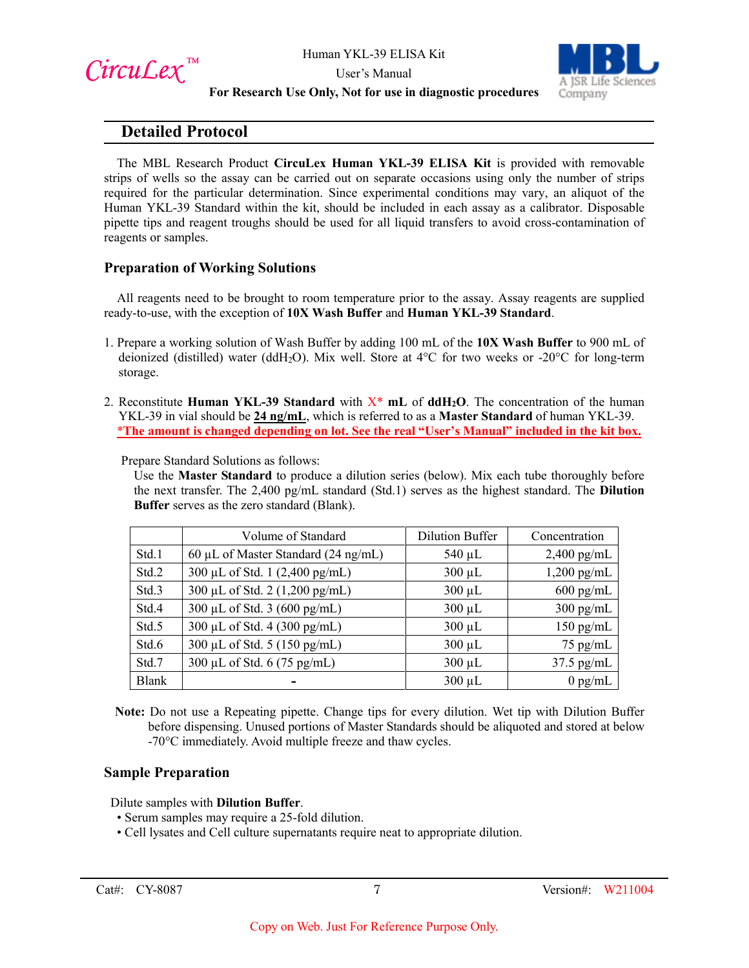CircuLex<sup>™</sup>

User's Manual



## **For Research Use Only, Not for use in diagnostic procedures**

# **Detailed Protocol**

The MBL Research Product **CircuLex Human YKL-39 ELISA Kit** is provided with removable strips of wells so the assay can be carried out on separate occasions using only the number of strips required for the particular determination. Since experimental conditions may vary, an aliquot of the Human YKL-39 Standard within the kit, should be included in each assay as a calibrator. Disposable pipette tips and reagent troughs should be used for all liquid transfers to avoid cross-contamination of reagents or samples.

## **Preparation of Working Solutions**

All reagents need to be brought to room temperature prior to the assay. Assay reagents are supplied ready-to-use, with the exception of **10X Wash Buffer** and **Human YKL-39 Standard**.

- 1. Prepare a working solution of Wash Buffer by adding 100 mL of the **10X Wash Buffer** to 900 mL of deionized (distilled) water (ddH<sub>2</sub>O). Mix well. Store at  $4^{\circ}$ C for two weeks or -20<sup>o</sup>C for long-term storage.
- 2. Reconstitute **Human YKL-39 Standard** with X\* **mL** of **ddH2O**. The concentration of the human YKL-39 in vial should be **24 ng/mL**, which is referred to as a **Master Standard** of human YKL-39. \***The amount is changed depending on lot. See the real "User's Manual" included in the kit box.**

Prepare Standard Solutions as follows:

Use the **Master Standard** to produce a dilution series (below). Mix each tube thoroughly before the next transfer. The 2,400 pg/mL standard (Std.1) serves as the highest standard. The **Dilution Buffer** serves as the zero standard (Blank).

|              | Volume of Standard                  | <b>Dilution Buffer</b> | Concentration       |
|--------------|-------------------------------------|------------------------|---------------------|
| Std.1        | 60 μL of Master Standard (24 ng/mL) | $540 \mu L$            | $2,400$ pg/mL       |
| Std.2        | 300 μL of Std. 1 (2,400 pg/mL)      | $300 \mu L$            | $1,200$ pg/mL       |
| Std.3        | 300 μL of Std. 2 (1,200 pg/mL)      | $300 \mu L$            | $600 \text{ pg/mL}$ |
| Std.4        | 300 µL of Std. 3 (600 pg/mL)        | $300 \mu L$            | $300 \text{ pg/mL}$ |
| Std.5        | 300 μL of Std. 4 (300 pg/mL)        | $300 \mu L$            | $150$ pg/mL         |
| Std.6        | 300 μL of Std. 5 (150 pg/mL)        | $300 \mu L$            | $75$ pg/mL          |
| Std.7        | 300 µL of Std. 6 (75 pg/mL)         | $300 \mu L$            | $37.5$ pg/mL        |
| <b>Blank</b> |                                     | $300 \mu L$            | $0$ pg/mL           |

**Note:** Do not use a Repeating pipette. Change tips for every dilution. Wet tip with Dilution Buffer before dispensing. Unused portions of Master Standards should be aliquoted and stored at below -70°C immediately. Avoid multiple freeze and thaw cycles.

## **Sample Preparation**

Dilute samples with **Dilution Buffer**.

- Serum samples may require a 25-fold dilution.
- Cell lysates and Cell culture supernatants require neat to appropriate dilution.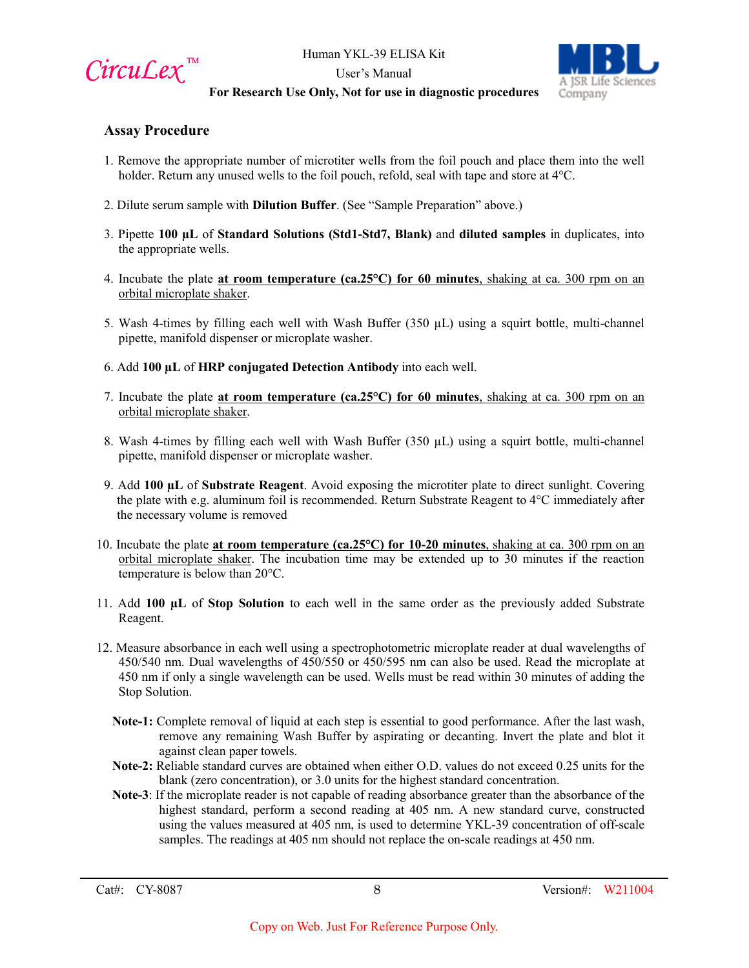

User's Manual



## **For Research Use Only, Not for use in diagnostic procedures**

## **Assay Procedure**

- 1. Remove the appropriate number of microtiter wells from the foil pouch and place them into the well holder. Return any unused wells to the foil pouch, refold, seal with tape and store at 4°C.
- 2. Dilute serum sample with **Dilution Buffer**. (See "Sample Preparation" above.)
- 3. Pipette **100 µL** of **Standard Solutions (Std1-Std7, Blank)** and **diluted samples** in duplicates, into the appropriate wells.
- 4. Incubate the plate **at room temperature (ca.25°C) for 60 minutes**, shaking at ca. 300 rpm on an orbital microplate shaker.
- 5. Wash 4-times by filling each well with Wash Buffer  $(350 \mu L)$  using a squirt bottle, multi-channel pipette, manifold dispenser or microplate washer.
- 6. Add **100 µL** of **HRP conjugated Detection Antibody** into each well.
- 7. Incubate the plate **at room temperature (ca.25°C) for 60 minutes**, shaking at ca. 300 rpm on an orbital microplate shaker.
- 8. Wash 4-times by filling each well with Wash Buffer  $(350 \mu L)$  using a squirt bottle, multi-channel pipette, manifold dispenser or microplate washer.
- 9. Add **100 µL** of **Substrate Reagent**. Avoid exposing the microtiter plate to direct sunlight. Covering the plate with e.g. aluminum foil is recommended. Return Substrate Reagent to  $4^{\circ}C$  immediately after the necessary volume is removed
- 10. Incubate the plate **at room temperature (ca.25°C) for 10-20 minutes**, shaking at ca. 300 rpm on an orbital microplate shaker. The incubation time may be extended up to 30 minutes if the reaction temperature is below than 20°C.
- 11. Add **100 µL** of **Stop Solution** to each well in the same order as the previously added Substrate Reagent.
- 12. Measure absorbance in each well using a spectrophotometric microplate reader at dual wavelengths of 450/540 nm. Dual wavelengths of 450/550 or 450/595 nm can also be used. Read the microplate at 450 nm if only a single wavelength can be used. Wells must be read within 30 minutes of adding the Stop Solution.
	- **Note-1:** Complete removal of liquid at each step is essential to good performance. After the last wash, remove any remaining Wash Buffer by aspirating or decanting. Invert the plate and blot it against clean paper towels.
	- **Note-2:** Reliable standard curves are obtained when either O.D. values do not exceed 0.25 units for the blank (zero concentration), or 3.0 units for the highest standard concentration.
	- **Note-3**: If the microplate reader is not capable of reading absorbance greater than the absorbance of the highest standard, perform a second reading at 405 nm. A new standard curve, constructed using the values measured at 405 nm, is used to determine YKL-39 concentration of off-scale samples. The readings at 405 nm should not replace the on-scale readings at 450 nm.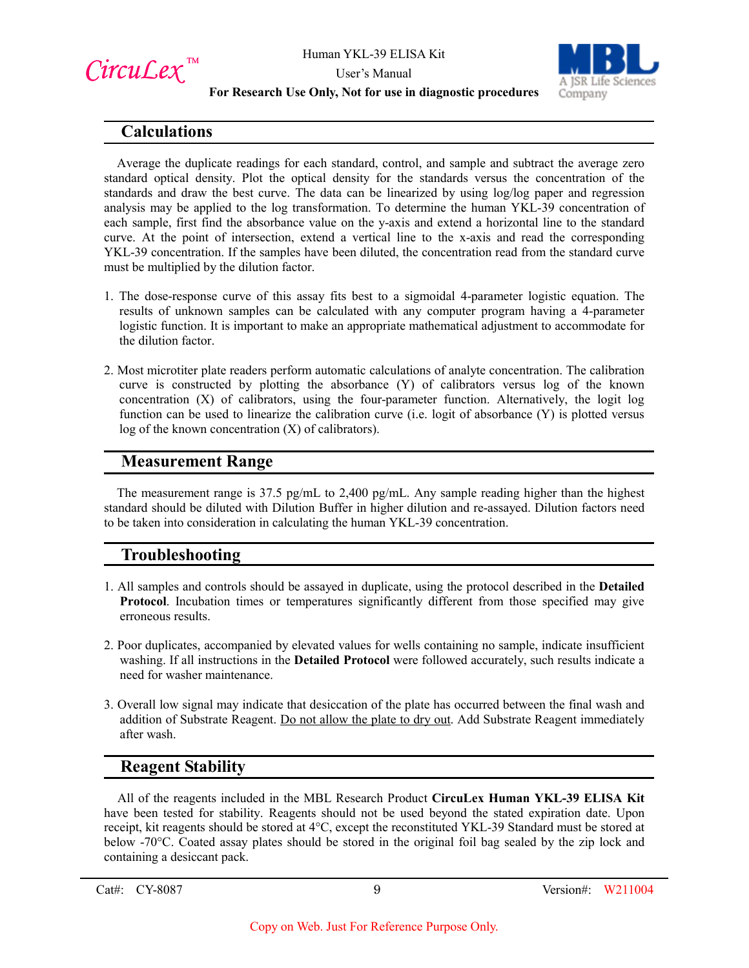

User's Manual



## **For Research Use Only, Not for use in diagnostic procedures**

# **Calculations**

Average the duplicate readings for each standard, control, and sample and subtract the average zero standard optical density. Plot the optical density for the standards versus the concentration of the standards and draw the best curve. The data can be linearized by using log/log paper and regression analysis may be applied to the log transformation. To determine the human YKL-39 concentration of each sample, first find the absorbance value on the y-axis and extend a horizontal line to the standard curve. At the point of intersection, extend a vertical line to the x-axis and read the corresponding YKL-39 concentration. If the samples have been diluted, the concentration read from the standard curve must be multiplied by the dilution factor.

- 1. The dose-response curve of this assay fits best to a sigmoidal 4-parameter logistic equation. The results of unknown samples can be calculated with any computer program having a 4-parameter logistic function. It is important to make an appropriate mathematical adjustment to accommodate for the dilution factor.
- 2. Most microtiter plate readers perform automatic calculations of analyte concentration. The calibration curve is constructed by plotting the absorbance (Y) of calibrators versus log of the known concentration (X) of calibrators, using the four-parameter function. Alternatively, the logit log function can be used to linearize the calibration curve (i.e. logit of absorbance (Y) is plotted versus log of the known concentration (X) of calibrators).

# **Measurement Range**

The measurement range is 37.5 pg/mL to 2,400 pg/mL. Any sample reading higher than the highest standard should be diluted with Dilution Buffer in higher dilution and re-assayed. Dilution factors need to be taken into consideration in calculating the human YKL-39 concentration.

# **Troubleshooting**

- 1. All samples and controls should be assayed in duplicate, using the protocol described in the **Detailed Protocol**. Incubation times or temperatures significantly different from those specified may give erroneous results.
- 2. Poor duplicates, accompanied by elevated values for wells containing no sample, indicate insufficient washing. If all instructions in the **Detailed Protocol** were followed accurately, such results indicate a need for washer maintenance.
- 3. Overall low signal may indicate that desiccation of the plate has occurred between the final wash and addition of Substrate Reagent. Do not allow the plate to dry out. Add Substrate Reagent immediately after wash.

# **Reagent Stability**

All of the reagents included in the MBL Research Product **CircuLex Human YKL-39 ELISA Kit**  have been tested for stability. Reagents should not be used beyond the stated expiration date. Upon receipt, kit reagents should be stored at 4°C, except the reconstituted YKL-39 Standard must be stored at below -70°C. Coated assay plates should be stored in the original foil bag sealed by the zip lock and containing a desiccant pack.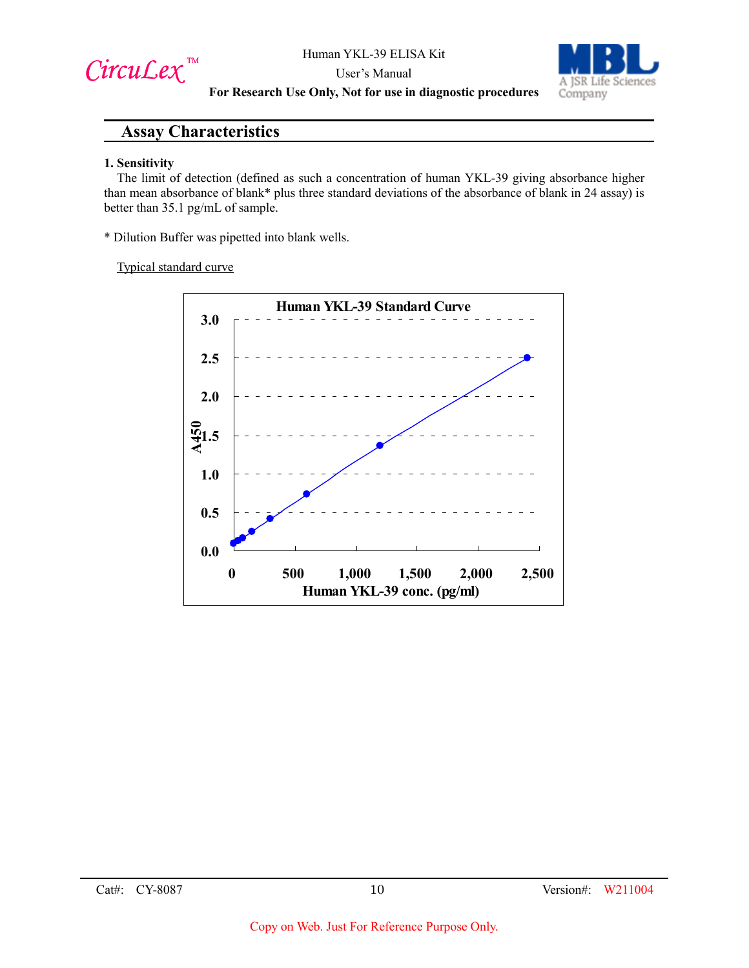$Circu$ *Lex*™

User's Manual



**For Research Use Only, Not for use in diagnostic procedures**

## **Assay Characteristics**

#### **1. Sensitivity**

The limit of detection (defined as such a concentration of human YKL-39 giving absorbance higher than mean absorbance of blank\* plus three standard deviations of the absorbance of blank in 24 assay) is better than 35.1 pg/mL of sample.

\* Dilution Buffer was pipetted into blank wells.

Typical standard curve

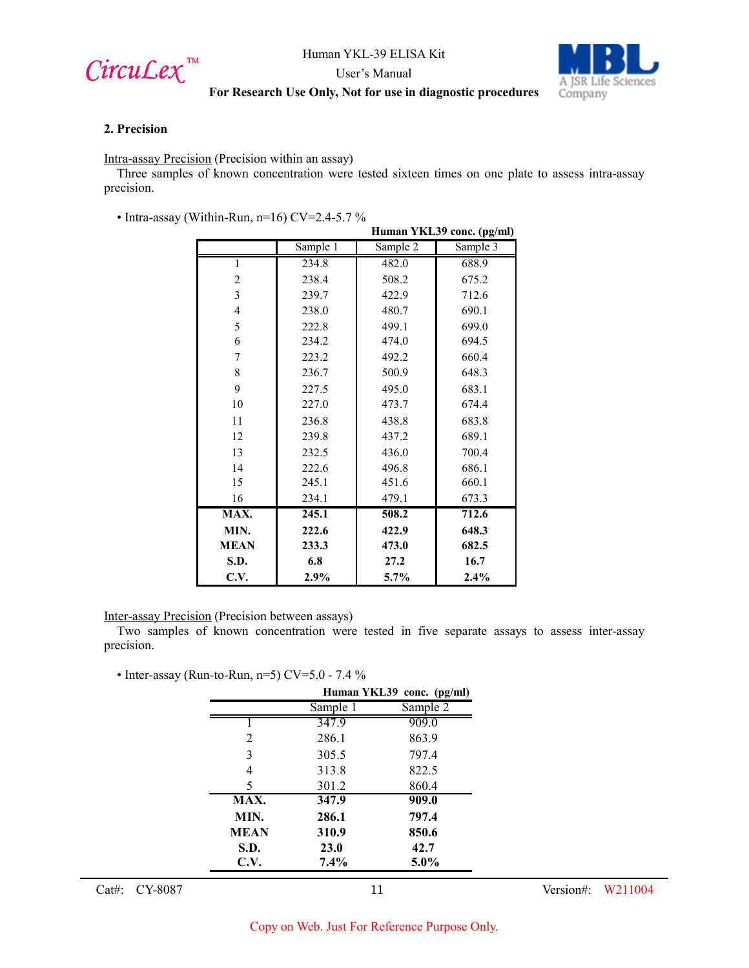

User's Manual



## **For Research Use Only, Not for use in diagnostic procedures**

#### **2. Precision**

Intra-assay Precision (Precision within an assay)

Three samples of known concentration were tested sixteen times on one plate to assess intra-assay precision.

• Intra-assay (Within-Run, n=16) CV=2.4-5.7 %

|                | /ithin-Run, n=16) CV=2.4-5. / %<br>Human YKL39 conc. (pg/ml) |          |          |
|----------------|--------------------------------------------------------------|----------|----------|
|                | Sample 1                                                     | Sample 2 | Sample 3 |
| 1              | 234.8                                                        | 482.0    | 688.9    |
| $\overline{c}$ | 238.4                                                        | 508.2    | 675.2    |
| 3              | 239.7                                                        | 422.9    | 712.6    |
| $\overline{4}$ | 238.0                                                        | 480.7    | 690.1    |
| 5              | 222.8                                                        | 499.1    | 699.0    |
| 6              | 234.2                                                        | 474.0    | 694.5    |
| 7              | 223.2                                                        | 492.2    | 660.4    |
| 8              | 236.7                                                        | 500.9    | 648.3    |
| 9              | 227.5                                                        | 495.0    | 683.1    |
| 10             | 227.0                                                        | 473.7    | 674.4    |
| 11             | 236.8                                                        | 438.8    | 683.8    |
| 12             | 239.8                                                        | 437.2    | 689.1    |
| 13             | 232.5                                                        | 436.0    | 700.4    |
| 14             | 222.6                                                        | 496.8    | 686.1    |
| 15             | 245.1                                                        | 451.6    | 660.1    |
| 16             | 234.1                                                        | 479.1    | 673.3    |
| MAX.           | 245.1                                                        | 508.2    | 712.6    |
| MIN.           | 222.6                                                        | 422.9    | 648.3    |
| <b>MEAN</b>    | 233.3                                                        | 473.0    | 682.5    |
| S.D.           | 6.8                                                          | 27.2     | 16.7     |
| C.V.           | 2.9%                                                         | $5.7\%$  | 2.4%     |

Inter-assay Precision (Precision between assays)

Two samples of known concentration were tested in five separate assays to assess inter-assay precision.

• Inter-assay (Run-to-Run, n=5)  $CV=5.0$  - 7.4 %

|             | Human YKL39 conc. (pg/ml) |          |  |
|-------------|---------------------------|----------|--|
|             | Sample 1                  | Sample 2 |  |
|             | 347.9                     | 909.0    |  |
| 2           | 286.1                     | 863.9    |  |
| 3           | 305.5                     | 797.4    |  |
| 4           | 313.8                     | 822.5    |  |
| 5           | 301.2                     | 860.4    |  |
| MAX.        | 347.9                     | 909.0    |  |
| MIN.        | 286.1                     | 797.4    |  |
| <b>MEAN</b> | 310.9                     | 850.6    |  |
| S.D.        | 23.0                      | 42.7     |  |
| C.V.        | $7.4\%$                   | $5.0\%$  |  |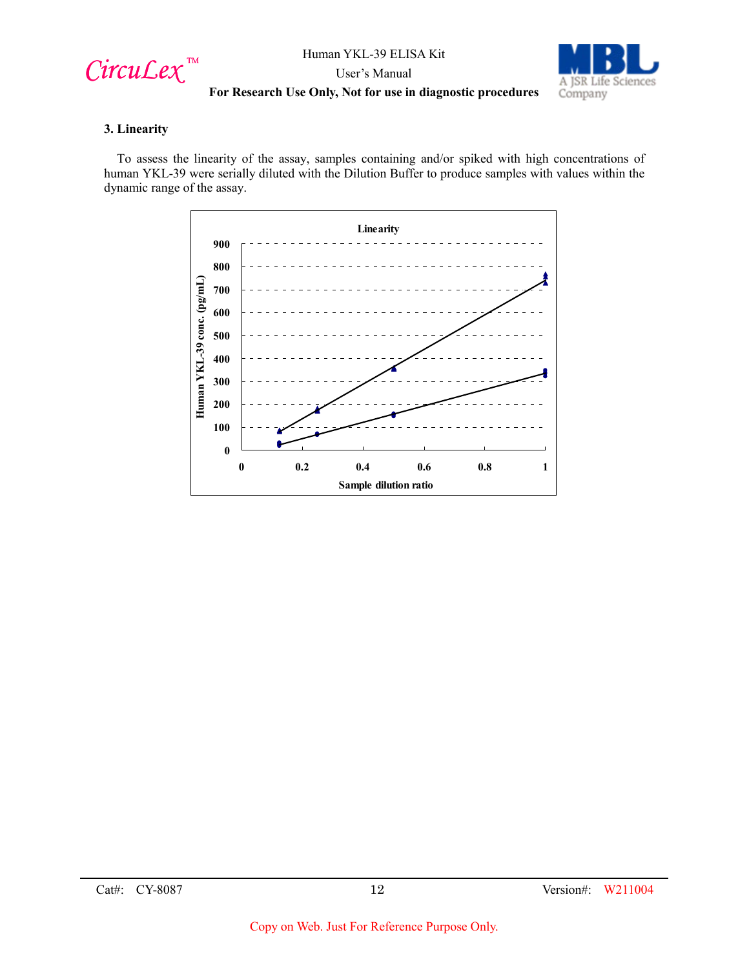$Circu$ *Lex*™

User's Manual



## **For Research Use Only, Not for use in diagnostic procedures**

## **3. Linearity**

To assess the linearity of the assay, samples containing and/or spiked with high concentrations of human YKL-39 were serially diluted with the Dilution Buffer to produce samples with values within the dynamic range of the assay.

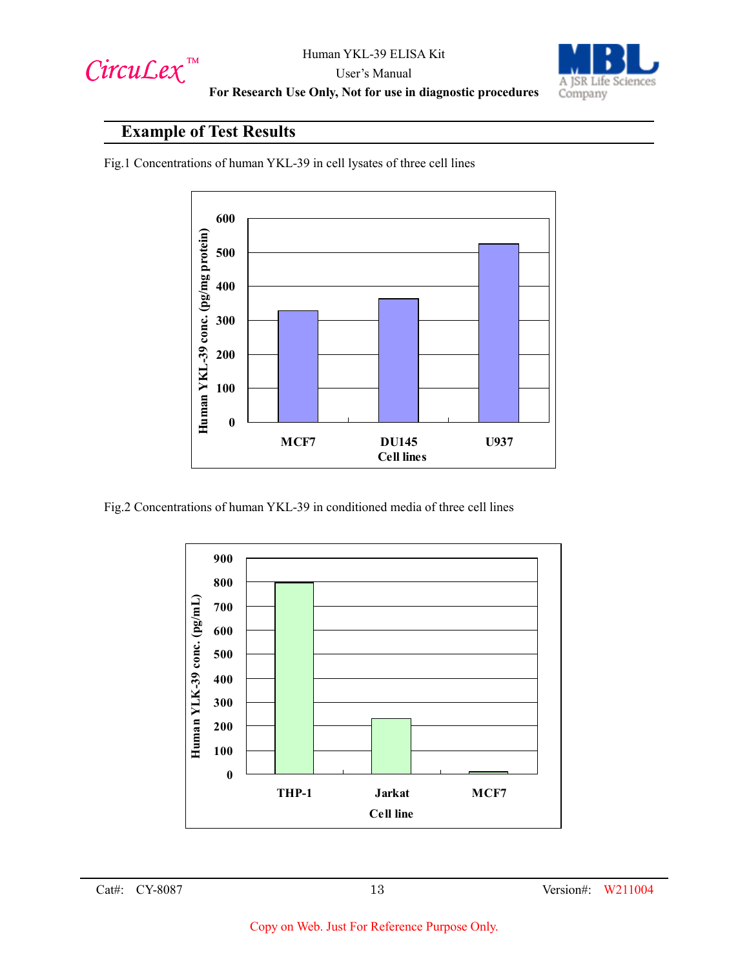



## User's Manual **For Research Use Only, Not for use in diagnostic procedures**

# **Example of Test Results**

Fig.1 Concentrations of human YKL-39 in cell lysates of three cell lines



Fig.2 Concentrations of human YKL-39 in conditioned media of three cell lines

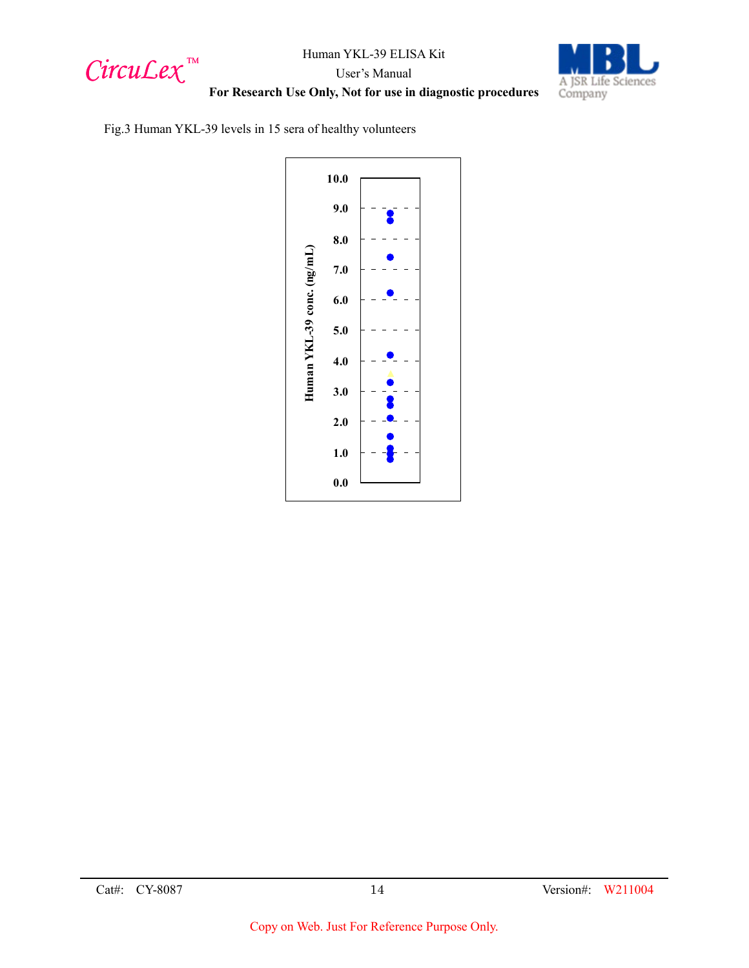$Circu$ *Lex*™



**For Research Use Only, Not for use in diagnostic procedures**

Fig.3 Human YKL-39 levels in 15 sera of healthy volunteers